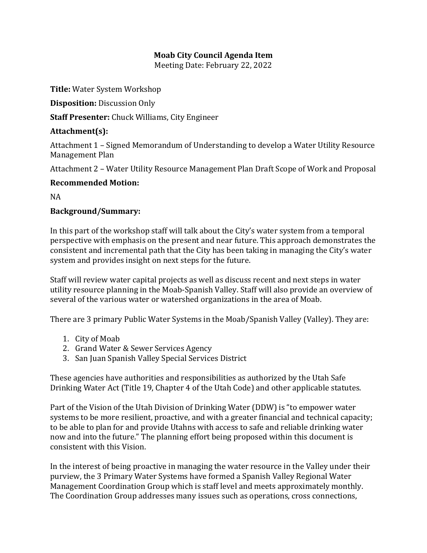## **Moab City Council Agenda Item**

Meeting Date: February 22, 2022

**Title:** Water System Workshop

**Disposition:** Discussion Only

**Staff Presenter:** Chuck Williams, City Engineer

## **Attachment(s):**

Attachment 1 – Signed Memorandum of Understanding to develop a Water Utility Resource Management Plan

Attachment 2 – Water Utility Resource Management Plan Draft Scope of Work and Proposal

## **Recommended Motion:**

NA

## **Background/Summary:**

In this part of the workshop staff will talk about the City's water system from a temporal perspective with emphasis on the present and near future. This approach demonstrates the consistent and incremental path that the City has been taking in managing the City's water system and provides insight on next steps for the future.

Staff will review water capital projects as well as discuss recent and next steps in water utility resource planning in the Moab-Spanish Valley. Staff will also provide an overview of several of the various water or watershed organizations in the area of Moab.

There are 3 primary Public Water Systems in the Moab/Spanish Valley (Valley). They are:

- 1. City of Moab
- 2. Grand Water & Sewer Services Agency
- 3. San Juan Spanish Valley Special Services District

These agencies have authorities and responsibilities as authorized by the Utah Safe Drinking Water Act (Title 19, Chapter 4 of the Utah Code) and other applicable statutes.

Part of the Vision of the Utah Division of Drinking Water (DDW) is "to empower water systems to be more resilient, proactive, and with a greater financial and technical capacity; to be able to plan for and provide Utahns with access to safe and reliable drinking water now and into the future." The planning effort being proposed within this document is consistent with this Vision.

In the interest of being proactive in managing the water resource in the Valley under their purview, the 3 Primary Water Systems have formed a Spanish Valley Regional Water Management Coordination Group which is staff level and meets approximately monthly. The Coordination Group addresses many issues such as operations, cross connections,